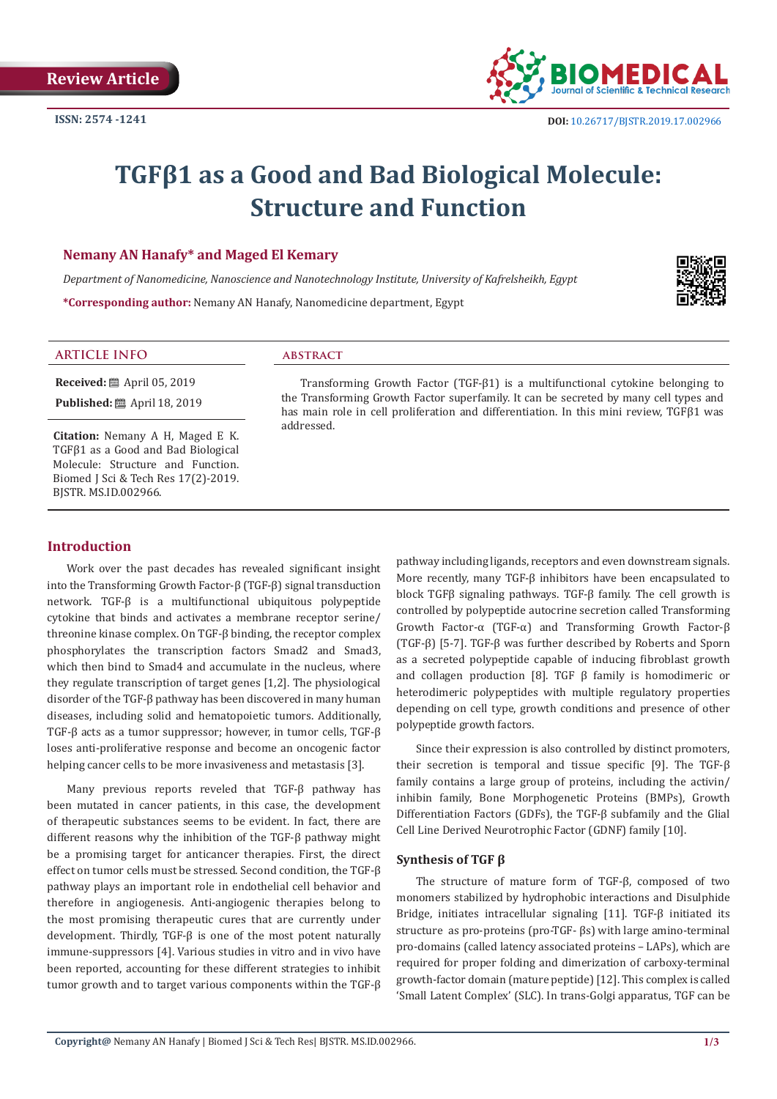

# **TGFβ1 as a Good and Bad Biological Molecule: Structure and Function**

## **Nemany AN Hanafy\* and Maged El Kemary**

*Department of Nanomedicine, Nanoscience and Nanotechnology Institute, University of Kafrelsheikh, Egypt*

**\*Corresponding author:** Nemany AN Hanafy, Nanomedicine department, Egypt



## **ARTICLE INFO abstract**

**Received:** ■ April 05, 2019 **Published:** ■ April 18, 2019

**Citation:** Nemany A H, Maged E K. TGFβ1 as a Good and Bad Biological Molecule: Structure and Function. Biomed J Sci & Tech Res 17(2)-2019. BJSTR. MS.ID.002966.

#### Transforming Growth Factor (TGF-β1) is a multifunctional cytokine belonging to the Transforming Growth Factor superfamily. It can be secreted by many cell types and has main role in cell proliferation and differentiation. In this mini review, TGFβ1 was addressed.

# **Introduction**

Work over the past decades has revealed significant insight into the Transforming Growth Factor-β (TGF-β) signal transduction network. TGF-β is a multifunctional ubiquitous polypeptide cytokine that binds and activates a membrane receptor serine/ threonine kinase complex. On TGF-β binding, the receptor complex phosphorylates the transcription factors Smad2 and Smad3, which then bind to Smad4 and accumulate in the nucleus, where they regulate transcription of target genes [1,2]. The physiological disorder of the TGF-β pathway has been discovered in many human diseases, including solid and hematopoietic tumors. Additionally, TGF-β acts as a tumor suppressor; however, in tumor cells, TGF-β loses anti-proliferative response and become an oncogenic factor helping cancer cells to be more invasiveness and metastasis [3].

Many previous reports reveled that TGF-β pathway has been mutated in cancer patients, in this case, the development of therapeutic substances seems to be evident. In fact, there are different reasons why the inhibition of the TGF-β pathway might be a promising target for anticancer therapies. First, the direct effect on tumor cells must be stressed. Second condition, the TGF-β pathway plays an important role in endothelial cell behavior and therefore in angiogenesis. Anti-angiogenic therapies belong to the most promising therapeutic cures that are currently under development. Thirdly, TGF-β is one of the most potent naturally immune-suppressors [4]. Various studies in vitro and in vivo have been reported, accounting for these different strategies to inhibit tumor growth and to target various components within the TGF-β pathway including ligands, receptors and even downstream signals. More recently, many TGF-β inhibitors have been encapsulated to block TGFβ signaling pathways. TGF-β family. The cell growth is controlled by polypeptide autocrine secretion called Transforming Growth Factor-α (TGF-α) and Transforming Growth Factor-β (TGF-β) [5-7]. TGF-β was further described by Roberts and Sporn as a secreted polypeptide capable of inducing fibroblast growth and collagen production [8]. TGF  $β$  family is homodimeric or heterodimeric polypeptides with multiple regulatory properties depending on cell type, growth conditions and presence of other polypeptide growth factors.

Since their expression is also controlled by distinct promoters, their secretion is temporal and tissue specific [9]. The TGF-β family contains a large group of proteins, including the activin/ inhibin family, Bone Morphogenetic Proteins (BMPs), Growth Differentiation Factors (GDFs), the TGF-β subfamily and the Glial Cell Line Derived Neurotrophic Factor (GDNF) family [10].

## **Synthesis of TGF β**

The structure of mature form of TGF-β, composed of two monomers stabilized by hydrophobic interactions and Disulphide Bridge, initiates intracellular signaling [11]. TGF-β initiated its structure as pro-proteins (pro-TGF- βs) with large amino-terminal pro-domains (called latency associated proteins – LAPs), which are required for proper folding and dimerization of carboxy-terminal growth-factor domain (mature peptide) [12]. This complex is called 'Small Latent Complex' (SLC). In trans-Golgi apparatus, TGF can be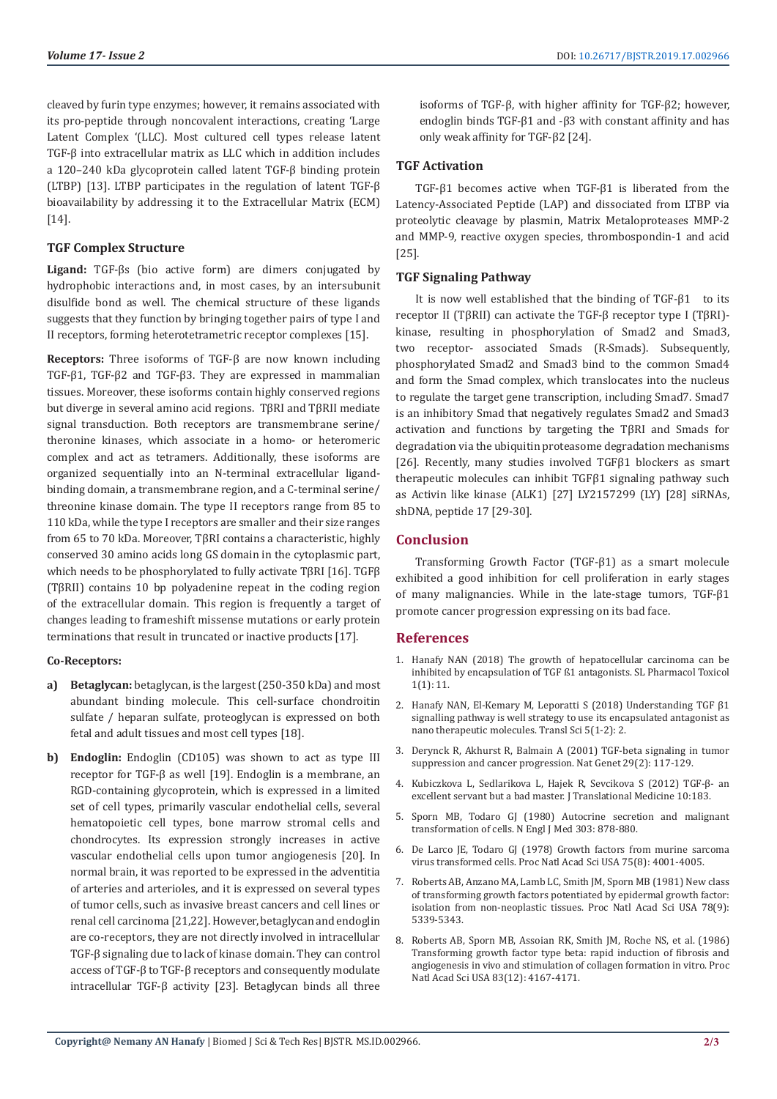cleaved by furin type enzymes; however, it remains associated with its pro-peptide through noncovalent interactions, creating 'Large Latent Complex '(LLC). Most cultured cell types release latent TGF-β into extracellular matrix as LLC which in addition includes a 120–240 kDa glycoprotein called latent TGF-β binding protein (LTBP) [13]. LTBP participates in the regulation of latent TGF-β bioavailability by addressing it to the Extracellular Matrix (ECM) [14].

# **TGF Complex Structure**

**Ligand:** TGF-βs (bio active form) are dimers conjugated by hydrophobic interactions and, in most cases, by an intersubunit disulfide bond as well. The chemical structure of these ligands suggests that they function by bringing together pairs of type I and II receptors, forming heterotetrametric receptor complexes [15].

**Receptors:** Three isoforms of TGF-β are now known including TGF-β1, TGF-β2 and TGF-β3. They are expressed in mammalian tissues. Moreover, these isoforms contain highly conserved regions but diverge in several amino acid regions. TβRI and TβRII mediate signal transduction. Both receptors are transmembrane serine/ theronine kinases, which associate in a homo- or heteromeric complex and act as tetramers. Additionally, these isoforms are organized sequentially into an N-terminal extracellular ligandbinding domain, a transmembrane region, and a C-terminal serine/ threonine kinase domain. The type II receptors range from 85 to 110 kDa, while the type I receptors are smaller and their size ranges from 65 to 70 kDa. Moreover, TβRI contains a characteristic, highly conserved 30 amino acids long GS domain in the cytoplasmic part, which needs to be phosphorylated to fully activate TβRI [16]. TGFβ (TβRII) contains 10 bp polyadenine repeat in the coding region of the extracellular domain. This region is frequently a target of changes leading to frameshift missense mutations or early protein terminations that result in truncated or inactive products [17].

## **Co-Receptors:**

- **a) Betaglycan:** betaglycan, is the largest (250-350 kDa) and most abundant binding molecule. This cell-surface chondroitin sulfate / heparan sulfate, proteoglycan is expressed on both fetal and adult tissues and most cell types [18].
- **b) Endoglin:** Endoglin (CD105) was shown to act as type III receptor for TGF-β as well [19]. Endoglin is a membrane, an RGD-containing glycoprotein, which is expressed in a limited set of cell types, primarily vascular endothelial cells, several hematopoietic cell types, bone marrow stromal cells and chondrocytes. Its expression strongly increases in active vascular endothelial cells upon tumor angiogenesis [20]. In normal brain, it was reported to be expressed in the adventitia of arteries and arterioles, and it is expressed on several types of tumor cells, such as invasive breast cancers and cell lines or renal cell carcinoma [21,22]. However, betaglycan and endoglin are co-receptors, they are not directly involved in intracellular TGF-β signaling due to lack of kinase domain. They can control access of TGF-β to TGF-β receptors and consequently modulate intracellular TGF-β activity [23]. Betaglycan binds all three

isoforms of TGF-β, with higher affinity for TGF-β2; however, endoglin binds TGF-β1 and -β3 with constant affinity and has only weak affinity for TGF-β2 [24].

# **TGF Activation**

TGF-β1 becomes active when TGF-β1 is liberated from the Latency-Associated Peptide (LAP) and dissociated from LTBP via proteolytic cleavage by plasmin, Matrix Metaloproteases MMP-2 and MMP-9, reactive oxygen species, thrombospondin-1 and acid [25].

# **TGF Signaling Pathway**

It is now well established that the binding of TGF-β1 to its receptor II (TβRII) can activate the TGF-β receptor type I (TβRI) kinase, resulting in phosphorylation of Smad2 and Smad3, two receptor- associated Smads (R-Smads). Subsequently, phosphorylated Smad2 and Smad3 bind to the common Smad4 and form the Smad complex, which translocates into the nucleus to regulate the target gene transcription, including Smad7. Smad7 is an inhibitory Smad that negatively regulates Smad2 and Smad3 activation and functions by targeting the TβRI and Smads for degradation via the ubiquitin proteasome degradation mechanisms [26]. Recently, many studies involved TGFβ1 blockers as smart therapeutic molecules can inhibit TGFβ1 signaling pathway such as Activin like kinase (ALK1) [27] LY2157299 (LY) [28] siRNAs, shDNA, peptide 17 [29-30].

# **Conclusion**

Transforming Growth Factor (TGF-β1) as a smart molecule exhibited a good inhibition for cell proliferation in early stages of many malignancies. While in the late-stage tumors, TGF-β1 promote cancer progression expressing on its bad face.

## **References**

- 1. [Hanafy NAN \(2018\) The growth of hepatocellular carcinoma can be](https://scientificliterature.org/Pharmacology/Pharmacology-18-112.pdf) [inhibited by encapsulation of TGF ß1 antagonists. SL Pharmacol Toxicol](https://scientificliterature.org/Pharmacology/Pharmacology-18-112.pdf) [1\(1\): 11.](https://scientificliterature.org/Pharmacology/Pharmacology-18-112.pdf)
- 2. [Hanafy NAN, El-Kemary M, Leporatti S \(2018\) Understanding TGF β1](https://www.oatext.com/pdf/JTS-5-264.pdf) [signalling pathway is well strategy to use its encapsulated antagonist as](https://www.oatext.com/pdf/JTS-5-264.pdf) [nano therapeutic molecules. Transl Sci 5\(1-2\): 2.](https://www.oatext.com/pdf/JTS-5-264.pdf)
- 3. [Derynck R, Akhurst R, Balmain A \(2001\) TGF-beta signaling in tumor](https://www.ncbi.nlm.nih.gov/pubmed/11586292) [suppression and cancer progression. Nat Genet 29\(2\): 117-129.](https://www.ncbi.nlm.nih.gov/pubmed/11586292)
- 4. [Kubiczkova L, Sedlarikova L, Hajek R, Sevcikova S \(2012\) TGF-β- an](https://www.ncbi.nlm.nih.gov/pubmed/22943793) [excellent servant but a bad master. J Translational Medicine 10:183.](https://www.ncbi.nlm.nih.gov/pubmed/22943793)
- 5. [Sporn MB, Todaro GJ \(1980\) Autocrine secretion and malignant](https://www.ncbi.nlm.nih.gov/pubmed/7412807) [transformation of cells. N Engl J Med 303: 878-880.](https://www.ncbi.nlm.nih.gov/pubmed/7412807)
- 6. [De Larco JE, Todaro GJ \(1978\) Growth factors from murine sarcoma](https://www.ncbi.nlm.nih.gov/pubmed/211512) [virus transformed cells. Proc Natl Acad Sci USA 75\(8\): 4001-4005.](https://www.ncbi.nlm.nih.gov/pubmed/211512)
- 7. [Roberts AB, Anzano MA, Lamb LC, Smith JM, Sporn MB \(1981\) New class](https://www.ncbi.nlm.nih.gov/pmc/articles/PMC348740/) [of transforming growth factors potentiated by epidermal growth factor:](https://www.ncbi.nlm.nih.gov/pmc/articles/PMC348740/) [isolation from non-neoplastic tissues. Proc Natl Acad Sci USA 78\(9\):](https://www.ncbi.nlm.nih.gov/pmc/articles/PMC348740/) [5339-5343.](https://www.ncbi.nlm.nih.gov/pmc/articles/PMC348740/)
- 8. [Roberts AB, Sporn MB, Assoian RK, Smith JM, Roche NS, et al. \(1986\)](https://www.ncbi.nlm.nih.gov/pubmed/2424019) [Transforming growth factor type beta: rapid induction of fibrosis and](https://www.ncbi.nlm.nih.gov/pubmed/2424019) [angiogenesis in vivo and stimulation of collagen formation in vitro. Proc](https://www.ncbi.nlm.nih.gov/pubmed/2424019) [Natl Acad Sci USA 83\(12\): 4167-4171.](https://www.ncbi.nlm.nih.gov/pubmed/2424019)